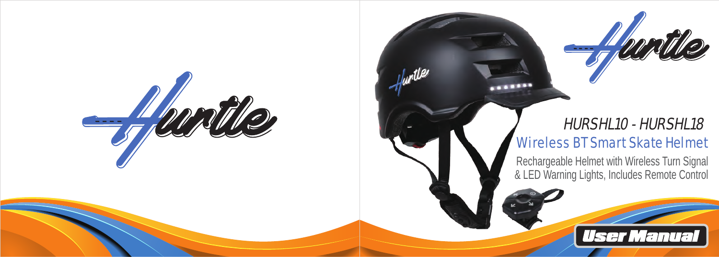

# Wireless BT Smart Skate Helmet HURSHL10 - HURSHL18

**ARREST** 

hyptile

Rechargeable Helmet with Wireless Turn Signal & LED Warning Lights, Includes Remote Control

**User Manual**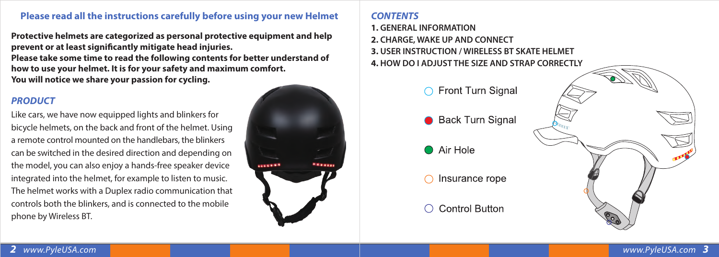# **Please read all the instructions carefully before using your new Helmet**

**Protective helmets are categorized as personal protective equipment and help**  prevent or at least significantly mitigate head injuries. **Please take some time to read the following contents for better understand of how to use your helmet. It is for your safety and maximum comfort. You will notice we share your passion for cycling.**

#### *PRODUCT*

Like cars, we have now equipped lights and blinkers for bicycle helmets, on the back and front of the helmet. Using a remote control mounted on the handlebars, the blinkers can be switched in the desired direction and depending on the model, you can also enjoy a hands-free speaker device integrated into the helmet, for example to listen to music. The helmet works with a Duplex radio communication that controls both the blinkers, and is connected to the mobile phone by Wireless BT.



# *CONTENTS*

**1. GENERAL INFORMATION**

**2. CHARGE, WAKE UP AND CONNECT**

**3. USER INSTRUCTION / WIRELESS BT SKATE HELMET**

**4. HOW DO I ADJUST THE SIZE AND STRAP CORRECTLY**

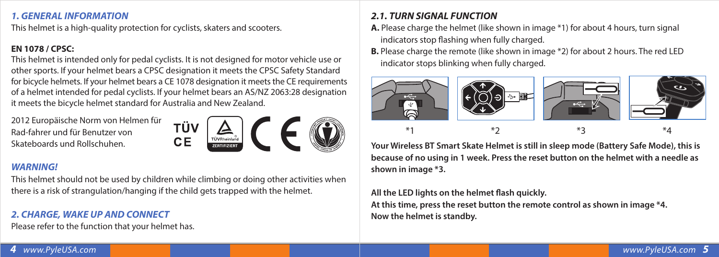# *1. GENERAL INFORMATION*

This helmet is a high-quality protection for cyclists, skaters and scooters.

# **EN 1078 / CPSC:**

This helmet is intended only for pedal cyclists. It is not designed for motor vehicle use or other sports. If your helmet bears a CPSC designation it meets the CPSC Safety Standard for bicycle helmets. If your helmet bears a CE 1078 designation it meets the CE requirements of a helmet intended for pedal cyclists. If your helmet bears an AS/NZ 2063:28 designation it meets the bicycle helmet standard for Australia and New Zealand.

2012 Europäische Norm von Helmen für Rad-fahrer und für Benutzer von Skateboards und Rollschuhen.



## *WARNING!*

This helmet should not be used by children while climbing or doing other activities when there is a risk of strangulation/hanging if the child gets trapped with the helmet.

# *2. CHARGE, WAKE UP AND CONNECT*

Please refer to the function that your helmet has.

# *2.1. TURN SIGNAL FUNCTION*

- **A.** Please charge the helmet (like shown in image \*1) for about 4 hours, turn signal indicators stop flashing when fully charged.
- **B.** Please charge the remote (like shown in image \*2) for about 2 hours. The red LED indicator stops blinking when fully charged.



**Your Wireless BT Smart Skate Helmet is still in sleep mode (Battery Safe Mode), this is because of no using in 1 week. Press the reset button on the helmet with a needle as shown in image \*3.**

# All the LED lights on the helmet flash quickly.

**At this time, press the reset button the remote control as shown in image \*4. Now the helmet is standby.**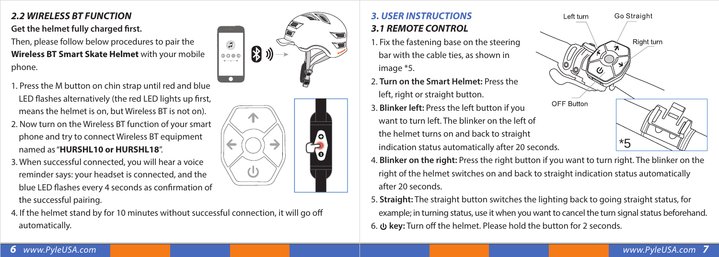# *2.2 WIRELESS BT FUNCTION*

# **Get the helmet fully charged first.**

Then, please follow below procedures to pair the **Wireless BT Smart Skate Helmet** with your mobile phone.

- 1. Press the M button on chin strap until red and blue LED flashes alternatively (the red LED lights up first, means the helmet is on, but Wireless BT is not on).
- 2. Now turn on the Wireless BT function of your smart phone and try to connect Wireless BT equipment named as "**HURSHL10 or HURSHL18**".
- 3. When successful connected, you will hear a voice reminder says: your headset is connected, and the blue LED flashes every 4 seconds as confirmation of the successful pairing.







# *3. USER INSTRUCTIONS 3.1 REMOTE CONTROL*

- 1. Fix the fastening base on the steering bar with the cable ties, as shown in image \*5.
- 2. **Turn on the Smart Helmet:** Press the left, right or straight button.
- 3. **Blinker left:** Press the left button if you want to turn left. The blinker on the left of the helmet turns on and back to straight indication status automatically after 20 seconds.



- 4. **Blinker on the right:** Press the right button if you want to turn right. The blinker on the right of the helmet switches on and back to straight indication status automatically after 20 seconds.
- 5. **Straight:** The straight button switches the lighting back to going straight status, for example; in turning status, use it when you want to cancel the turn signal status beforehand. 6. **ψ key:** Turn off the helmet. Please hold the button for 2 seconds.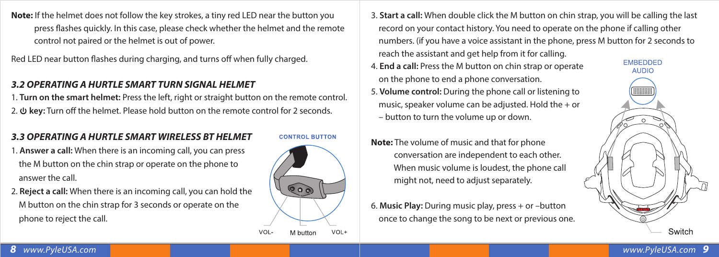**Note:** If the helmet does not follow the key strokes, a tiny red LED near the button you press flashes quickly. In this case, please check whether the helmet and the remote control not paired or the helmet is out of power.

Red LED near button flashes during charging, and turns off when fully charged.

# *3.2 OPERATING A HURTLE SMART TURN SIGNAL HELMET*

1. **Turn on the smart helmet:** Press the left, right or straight button on the remote control. 2.  $\psi$  key: Turn off the helmet. Please hold button on the remote control for 2 seconds.

# *3.3 OPERATING A HURTLE SMART WIRELESS BT HELMET*

- 1. **Answer a call:** When there is an incoming call, you can press the M button on the chin strap or operate on the phone to answer the call.
- 2. **Reject a call:** When there is an incoming call, you can hold the M button on the chin strap for 3 seconds or operate on the phone to reject the call.

**CONTROL BUTTON** 



3. **Start a call:** When double click the M button on chin strap, you will be calling the last record on your contact history. You need to operate on the phone if calling other numbers. (if you have a voice assistant in the phone, press M button for 2 seconds to reach the assistant and get help from it for calling.

- 4. **End a call:** Press the M button on chin strap or operate on the phone to end a phone conversation. 5. **Volume control:** During the phone call or listening to
- music, speaker volume can be adjusted. Hold the + or – button to turn the volume up or down.
- **Note:** The volume of music and that for phone conversation are independent to each other. When music volume is loudest, the phone call might not, need to adjust separately.
- 6. **Music Play:** During music play, press + or –button once to change the song to be next or previous one.

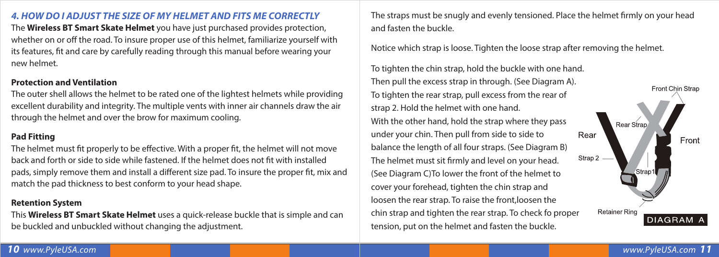### *4. HOW DO I ADJUST THE SIZE OF MY HELMET AND FITS ME CORRECTLY*

The **Wireless BT Smart Skate Helmet** you have just purchased provides protection, whether on or off the road. To insure proper use of this helmet, familiarize yourself with its features, fit and care by carefully reading through this manual before wearing your new helmet.

#### **Protection and Ventilation**

The outer shell allows the helmet to be rated one of the lightest helmets while providing excellent durability and integrity. The multiple vents with inner air channels draw the air through the helmet and over the brow for maximum cooling.

# **Pad Fitting**

The helmet must fit properly to be effective. With a proper fit, the helmet will not move back and forth or side to side while fastened. If the helmet does not fit with installed pads, simply remove them and install a different size pad. To insure the proper fit, mix and match the pad thickness to best conform to your head shape.

#### **Retention System**

This **Wireless BT Smart Skate Helmet** uses a quick-release buckle that is simple and can be buckled and unbuckled without changing the adjustment.

The straps must be snugly and evenly tensioned. Place the helmet firmly on your head and fasten the buckle.

Notice which strap is loose. Tighten the loose strap after removing the helmet.

To tighten the chin strap, hold the buckle with one hand. Then pull the excess strap in through. (See Diagram A). To tighten the rear strap, pull excess from the rear of strap 2. Hold the helmet with one hand. With the other hand, hold the strap where they pass under your chin. Then pull from side to side to Rear balance the length of all four straps. (See Diagram B) The helmet must sit firmly and level on your head. (See Diagram C)To lower the front of the helmet to cover your forehead, tighten the chin strap and loosen the rear strap. To raise the front,loosen the chin strap and tighten the rear strap. To check fo proper tension, put on the helmet and fasten the buckle.

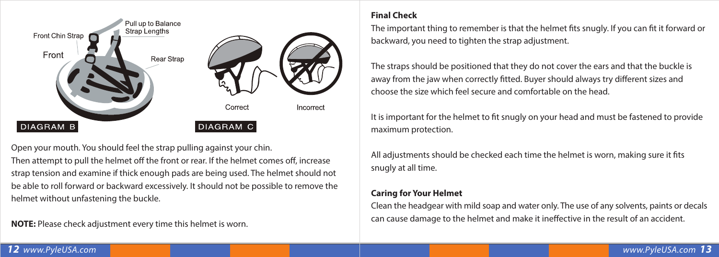

Open your mouth. You should feel the strap pulling against your chin.

Then attempt to pull the helmet off the front or rear. If the helmet comes off, increase strap tension and examine if thick enough pads are being used. The helmet should not be able to roll forward or backward excessively. It should not be possible to remove the helmet without unfastening the buckle.

**NOTE:** Please check adjustment every time this helmet is worn.

# **Final Check**

The important thing to remember is that the helmet fits snugly. If you can fit it forward or backward, you need to tighten the strap adjustment.

The straps should be positioned that they do not cover the ears and that the buckle is away from the jaw when correctly fitted. Buyer should always try different sizes and choose the size which feel secure and comfortable on the head.

It is important for the helmet to fit snugly on your head and must be fastened to provide maximum protection.

All adjustments should be checked each time the helmet is worn, making sure it fits snugly at all time.

# **Caring for Your Helmet**

Clean the headgear with mild soap and water only. The use of any solvents, paints or decals can cause damage to the helmet and make it ineffective in the result of an accident.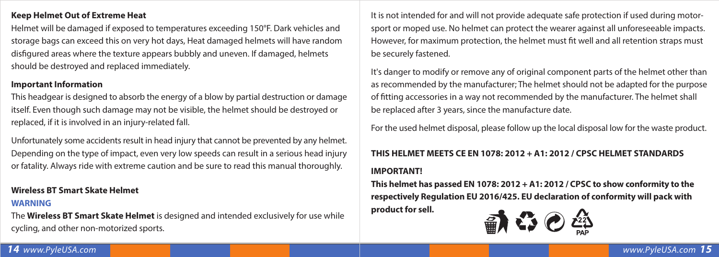#### **Keep Helmet Out of Extreme Heat**

Helmet will be damaged if exposed to temperatures exceeding 150°F. Dark vehicles and storage bags can exceed this on very hot days, Heat damaged helmets will have random disfigured areas where the texture appears bubbly and uneven. If damaged, helmets should be destroyed and replaced immediately.

#### **Important Information**

This headgear is designed to absorb the energy of a blow by partial destruction or damage itself. Even though such damage may not be visible, the helmet should be destroyed or replaced, if it is involved in an injury-related fall.

Unfortunately some accidents result in head injury that cannot be prevented by any helmet. Depending on the type of impact, even very low speeds can result in a serious head injury or fatality. Always ride with extreme caution and be sure to read this manual thoroughly.

#### **Wireless BT Smart Skate Helmet**

#### **WARNING**

The **Wireless BT Smart Skate Helmet** is designed and intended exclusively for use while cycling, and other non-motorized sports.

It is not intended for and will not provide adequate safe protection if used during motorsport or moped use. No helmet can protect the wearer against all unforeseeable impacts. However, for maximum protection, the helmet must fit well and all retention straps must be securely fastened.

It's danger to modify or remove any of original component parts of the helmet other than as recommended by the manufacturer; The helmet should not be adapted for the purpose of tting accessories in a way not recommended by the manufacturer. The helmet shall be replaced after 3 years, since the manufacture date.

For the used helmet disposal, please follow up the local disposal low for the waste product.

#### **THIS HELMET MEETS CE EN 1078: 2012 + A1: 2012 / CPSC HELMET STANDARDS**

#### **IMPORTANT!**

**This helmet has passed EN 1078: 2012 + A1: 2012 / CPSC to show conformity to the respectively Regulation EU 2016/425. EU declaration of conformity will pack with product for sell.**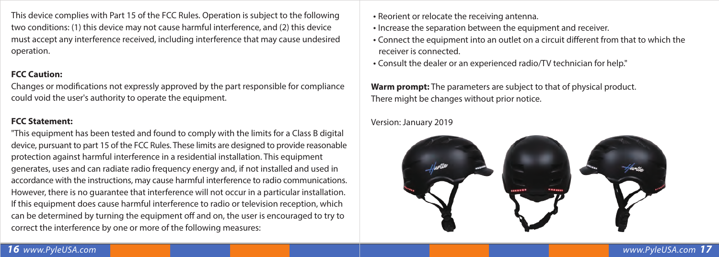This device complies with Part 15 of the FCC Rules. Operation is subject to the following two conditions: (1) this device may not cause harmful interference, and (2) this device must accept any interference received, including interference that may cause undesired operation.

#### **FCC Caution:**

Changes or modifications not expressly approved by the part responsible for compliance could void the user's authority to operate the equipment.

#### **FCC Statement:**

"This equipment has been tested and found to comply with the limits for a Class B digital device, pursuant to part 15 of the FCC Rules. These limits are designed to provide reasonable protection against harmful interference in a residential installation. This equipment generates, uses and can radiate radio frequency energy and, if not installed and used in accordance with the instructions, may cause harmful interference to radio communications. However, there is no guarantee that interference will not occur in a particular installation. If this equipment does cause harmful interference to radio or television reception, which can be determined by turning the equipment off and on, the user is encouraged to try to correct the interference by one or more of the following measures:

- Reorient or relocate the receiving antenna.
- Increase the separation between the equipment and receiver.
- Connect the equipment into an outlet on a circuit different from that to which the receiver is connected.
- Consult the dealer or an experienced radio/TV technician for help."

**Warm prompt:** The parameters are subject to that of physical product. There might be changes without prior notice.

#### Version: January 2019